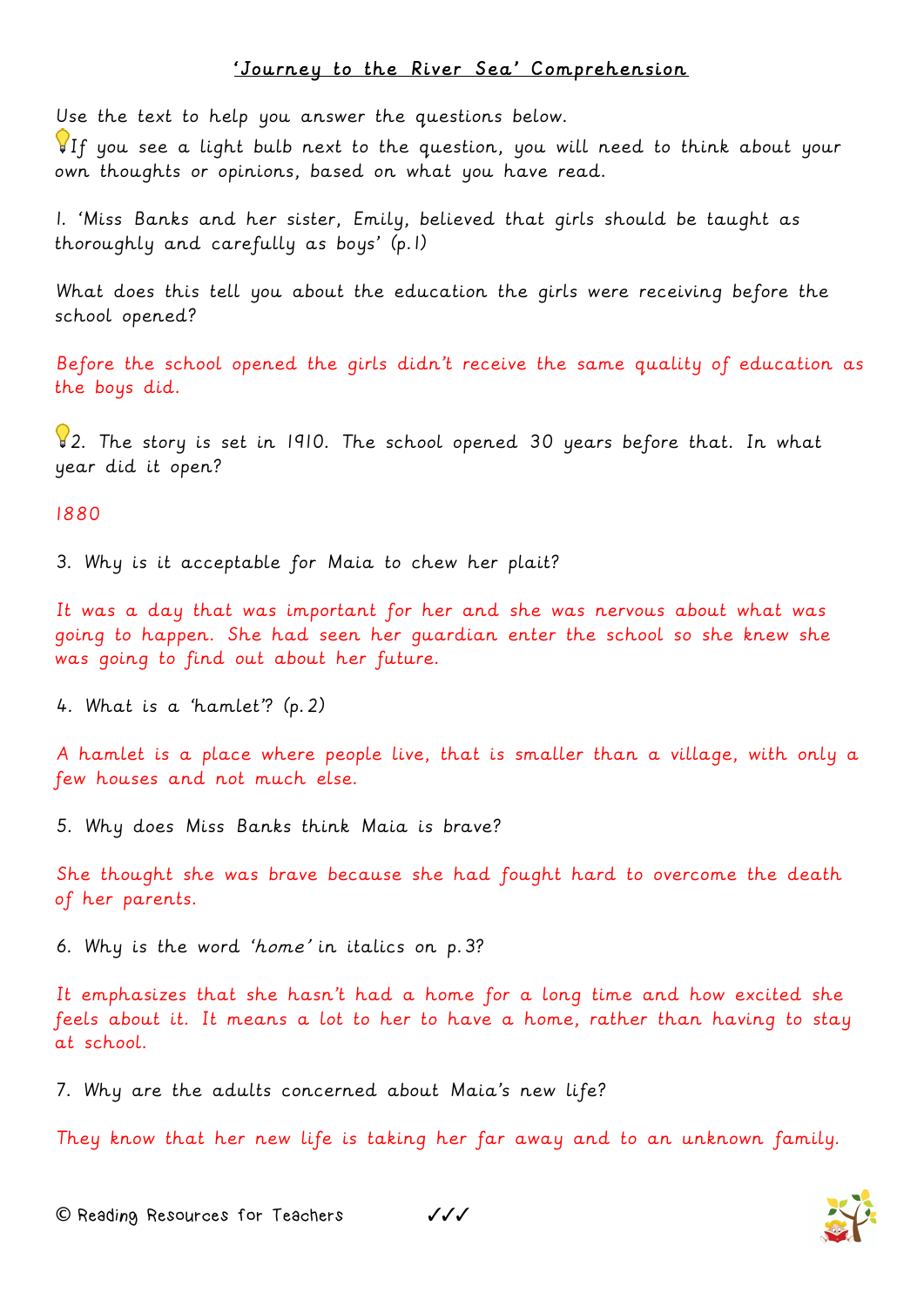## 'Journey to the River Sea' Comprehension

Use the text to help you answer the questions below.

If you see a light bulb next to the question, you will need to think about your own thoughts or opinions, based on what you have read.

1. 'Miss Banks and her sister, Emily, believed that girls should be taught as thoroughly and carefully as boys' (p.1)

What does this tell you about the education the girls were receiving before the school opened?

Before the school opened the girls didn't receive the same quality of education as the boys did.

2. The story is set in 1910. The school opened 30 years before that. In what year did it open?

## 1880

3. Why is it acceptable for Maia to chew her plait?

It was a day that was important for her and she was nervous about what was going to happen. She had seen her guardian enter the school so she knew she was going to find out about her future.

4. What is a 'hamlet'? (p.2)

A hamlet is a place where people live, that is smaller than a village, with only a few houses and not much else.

5. Why does Miss Banks think Maia is brave?

She thought she was brave because she had fought hard to overcome the death of her parents.

6. Why is the word 'home' in italics on p.3?

It emphasizes that she hasn't had a home for a long time and how excited she feels about it. It means a lot to her to have a home, rather than having to stay at school.

7. Why are the adults concerned about Maia's new life?

They know that her new life is taking her far away and to an unknown family.